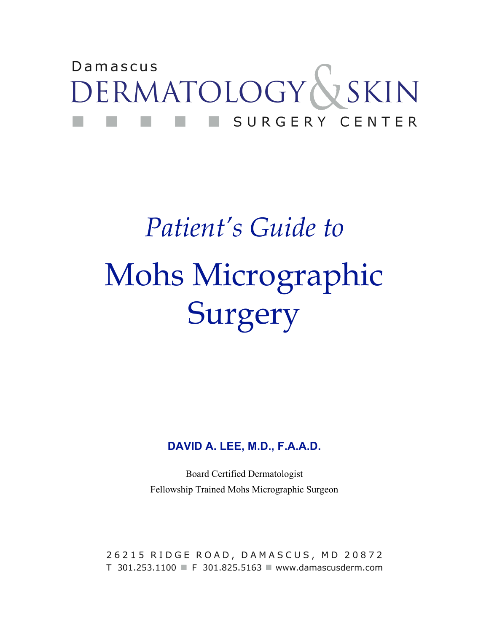## Damascus DERMATOLOGY & SKIN SURGERY CENTER

# *Patient's Guide to* Mohs Micrographic Surgery

#### **DAVID A. LEE, M.D., F.A.A.D.**

Board Certified Dermatologist Fellowship Trained Mohs Micrographic Surgeon

26215 RIDGE ROAD, DAMASCUS, MD 20872 T 301.253.1100 F 301.825.5163 Www.damascusderm.com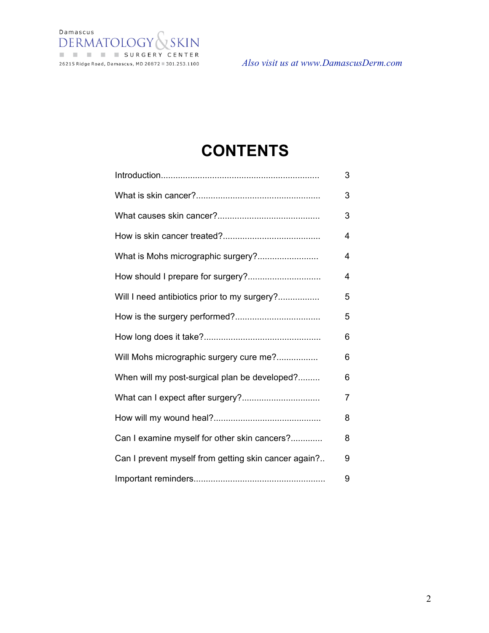

*Also visit us at www.DamascusDerm.com*

### **CONTENTS**

|                                                      | 3 |
|------------------------------------------------------|---|
|                                                      | 3 |
|                                                      | 3 |
|                                                      | 4 |
| What is Mohs micrographic surgery?                   | 4 |
|                                                      | 4 |
| Will I need antibiotics prior to my surgery?         | 5 |
|                                                      | 5 |
|                                                      | 6 |
| Will Mohs micrographic surgery cure me?              | 6 |
| When will my post-surgical plan be developed?        | 6 |
|                                                      | 7 |
|                                                      | 8 |
| Can I examine myself for other skin cancers?         | 8 |
| Can I prevent myself from getting skin cancer again? | 9 |
|                                                      | 9 |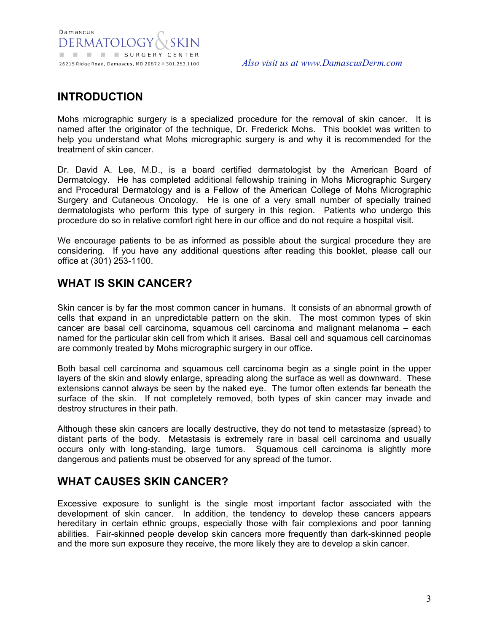#### **INTRODUCTION**

Mohs micrographic surgery is a specialized procedure for the removal of skin cancer. It is named after the originator of the technique, Dr. Frederick Mohs. This booklet was written to help you understand what Mohs micrographic surgery is and why it is recommended for the treatment of skin cancer.

Dr. David A. Lee, M.D., is a board certified dermatologist by the American Board of Dermatology. He has completed additional fellowship training in Mohs Micrographic Surgery and Procedural Dermatology and is a Fellow of the American College of Mohs Micrographic Surgery and Cutaneous Oncology. He is one of a very small number of specially trained dermatologists who perform this type of surgery in this region. Patients who undergo this procedure do so in relative comfort right here in our office and do not require a hospital visit.

We encourage patients to be as informed as possible about the surgical procedure they are considering. If you have any additional questions after reading this booklet, please call our office at (301) 253-1100.

#### **WHAT IS SKIN CANCER?**

Skin cancer is by far the most common cancer in humans. It consists of an abnormal growth of cells that expand in an unpredictable pattern on the skin. The most common types of skin cancer are basal cell carcinoma, squamous cell carcinoma and malignant melanoma – each named for the particular skin cell from which it arises. Basal cell and squamous cell carcinomas are commonly treated by Mohs micrographic surgery in our office.

Both basal cell carcinoma and squamous cell carcinoma begin as a single point in the upper layers of the skin and slowly enlarge, spreading along the surface as well as downward. These extensions cannot always be seen by the naked eye. The tumor often extends far beneath the surface of the skin. If not completely removed, both types of skin cancer may invade and destroy structures in their path.

Although these skin cancers are locally destructive, they do not tend to metastasize (spread) to distant parts of the body. Metastasis is extremely rare in basal cell carcinoma and usually occurs only with long-standing, large tumors. Squamous cell carcinoma is slightly more dangerous and patients must be observed for any spread of the tumor.

#### **WHAT CAUSES SKIN CANCER?**

Excessive exposure to sunlight is the single most important factor associated with the development of skin cancer. In addition, the tendency to develop these cancers appears hereditary in certain ethnic groups, especially those with fair complexions and poor tanning abilities. Fair-skinned people develop skin cancers more frequently than dark-skinned people and the more sun exposure they receive, the more likely they are to develop a skin cancer.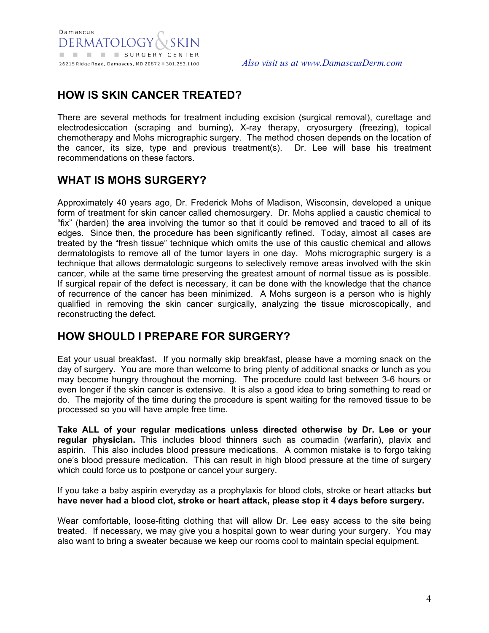#### **HOW IS SKIN CANCER TREATED?**

There are several methods for treatment including excision (surgical removal), curettage and electrodesiccation (scraping and burning), X-ray therapy, cryosurgery (freezing), topical chemotherapy and Mohs micrographic surgery. The method chosen depends on the location of the cancer, its size, type and previous treatment(s). Dr. Lee will base his treatment recommendations on these factors.

#### **WHAT IS MOHS SURGERY?**

Approximately 40 years ago, Dr. Frederick Mohs of Madison, Wisconsin, developed a unique form of treatment for skin cancer called chemosurgery. Dr. Mohs applied a caustic chemical to "fix" (harden) the area involving the tumor so that it could be removed and traced to all of its edges. Since then, the procedure has been significantly refined. Today, almost all cases are treated by the "fresh tissue" technique which omits the use of this caustic chemical and allows dermatologists to remove all of the tumor layers in one day. Mohs micrographic surgery is a technique that allows dermatologic surgeons to selectively remove areas involved with the skin cancer, while at the same time preserving the greatest amount of normal tissue as is possible. If surgical repair of the defect is necessary, it can be done with the knowledge that the chance of recurrence of the cancer has been minimized. A Mohs surgeon is a person who is highly qualified in removing the skin cancer surgically, analyzing the tissue microscopically, and reconstructing the defect.

#### **HOW SHOULD I PREPARE FOR SURGERY?**

Eat your usual breakfast. If you normally skip breakfast, please have a morning snack on the day of surgery. You are more than welcome to bring plenty of additional snacks or lunch as you may become hungry throughout the morning. The procedure could last between 3-6 hours or even longer if the skin cancer is extensive. It is also a good idea to bring something to read or do. The majority of the time during the procedure is spent waiting for the removed tissue to be processed so you will have ample free time.

**Take ALL of your regular medications unless directed otherwise by Dr. Lee or your regular physician.** This includes blood thinners such as coumadin (warfarin), plavix and aspirin. This also includes blood pressure medications. A common mistake is to forgo taking one's blood pressure medication. This can result in high blood pressure at the time of surgery which could force us to postpone or cancel your surgery.

If you take a baby aspirin everyday as a prophylaxis for blood clots, stroke or heart attacks **but have never had a blood clot, stroke or heart attack, please stop it 4 days before surgery.** 

Wear comfortable, loose-fitting clothing that will allow Dr. Lee easy access to the site being treated. If necessary, we may give you a hospital gown to wear during your surgery. You may also want to bring a sweater because we keep our rooms cool to maintain special equipment.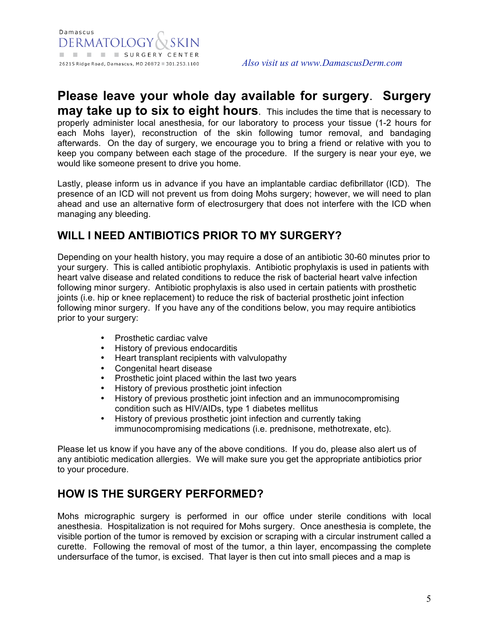#### **Please leave your whole day available for surgery**. **Surgery**

**may take up to six to eight hours**. This includes the time that is necessary to properly administer local anesthesia, for our laboratory to process your tissue (1-2 hours for each Mohs layer), reconstruction of the skin following tumor removal, and bandaging afterwards. On the day of surgery, we encourage you to bring a friend or relative with you to keep you company between each stage of the procedure. If the surgery is near your eye, we would like someone present to drive you home.

Lastly, please inform us in advance if you have an implantable cardiac defibrillator (ICD). The presence of an ICD will not prevent us from doing Mohs surgery; however, we will need to plan ahead and use an alternative form of electrosurgery that does not interfere with the ICD when managing any bleeding.

#### **WILL I NEED ANTIBIOTICS PRIOR TO MY SURGERY?**

Depending on your health history, you may require a dose of an antibiotic 30-60 minutes prior to your surgery. This is called antibiotic prophylaxis. Antibiotic prophylaxis is used in patients with heart valve disease and related conditions to reduce the risk of bacterial heart valve infection following minor surgery. Antibiotic prophylaxis is also used in certain patients with prosthetic joints (i.e. hip or knee replacement) to reduce the risk of bacterial prosthetic joint infection following minor surgery. If you have any of the conditions below, you may require antibiotics prior to your surgery:

- Prosthetic cardiac valve
- History of previous endocarditis<br>• Heart transplant recipients with
- Heart transplant recipients with valvulopathy
- Congenital heart disease
- Prosthetic joint placed within the last two years
- History of previous prosthetic joint infection<br>• History of previous prosthetic joint infection
- History of previous prosthetic joint infection and an immunocompromising condition such as HIV/AIDs, type 1 diabetes mellitus
- History of previous prosthetic joint infection and currently taking immunocompromising medications (i.e. prednisone, methotrexate, etc).

Please let us know if you have any of the above conditions. If you do, please also alert us of any antibiotic medication allergies. We will make sure you get the appropriate antibiotics prior to your procedure.

#### **HOW IS THE SURGERY PERFORMED?**

Mohs micrographic surgery is performed in our office under sterile conditions with local anesthesia. Hospitalization is not required for Mohs surgery. Once anesthesia is complete, the visible portion of the tumor is removed by excision or scraping with a circular instrument called a curette. Following the removal of most of the tumor, a thin layer, encompassing the complete undersurface of the tumor, is excised. That layer is then cut into small pieces and a map is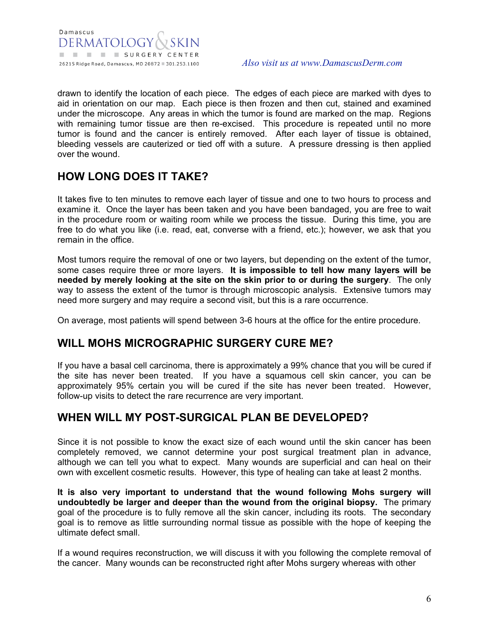drawn to identify the location of each piece. The edges of each piece are marked with dyes to aid in orientation on our map. Each piece is then frozen and then cut, stained and examined under the microscope. Any areas in which the tumor is found are marked on the map. Regions with remaining tumor tissue are then re-excised. This procedure is repeated until no more tumor is found and the cancer is entirely removed. After each layer of tissue is obtained, bleeding vessels are cauterized or tied off with a suture. A pressure dressing is then applied over the wound.

#### **HOW LONG DOES IT TAKE?**

It takes five to ten minutes to remove each layer of tissue and one to two hours to process and examine it. Once the layer has been taken and you have been bandaged, you are free to wait in the procedure room or waiting room while we process the tissue. During this time, you are free to do what you like (i.e. read, eat, converse with a friend, etc.); however, we ask that you remain in the office.

Most tumors require the removal of one or two layers, but depending on the extent of the tumor, some cases require three or more layers. **It is impossible to tell how many layers will be needed by merely looking at the site on the skin prior to or during the surgery**. The only way to assess the extent of the tumor is through microscopic analysis. Extensive tumors may need more surgery and may require a second visit, but this is a rare occurrence.

On average, most patients will spend between 3-6 hours at the office for the entire procedure.

#### **WILL MOHS MICROGRAPHIC SURGERY CURE ME?**

If you have a basal cell carcinoma, there is approximately a 99% chance that you will be cured if the site has never been treated. If you have a squamous cell skin cancer, you can be approximately 95% certain you will be cured if the site has never been treated. However, follow-up visits to detect the rare recurrence are very important.

#### **WHEN WILL MY POST-SURGICAL PLAN BE DEVELOPED?**

Since it is not possible to know the exact size of each wound until the skin cancer has been completely removed, we cannot determine your post surgical treatment plan in advance, although we can tell you what to expect. Many wounds are superficial and can heal on their own with excellent cosmetic results. However, this type of healing can take at least 2 months.

**It is also very important to understand that the wound following Mohs surgery will undoubtedly be larger and deeper than the wound from the original biopsy.** The primary goal of the procedure is to fully remove all the skin cancer, including its roots. The secondary goal is to remove as little surrounding normal tissue as possible with the hope of keeping the ultimate defect small.

If a wound requires reconstruction, we will discuss it with you following the complete removal of the cancer. Many wounds can be reconstructed right after Mohs surgery whereas with other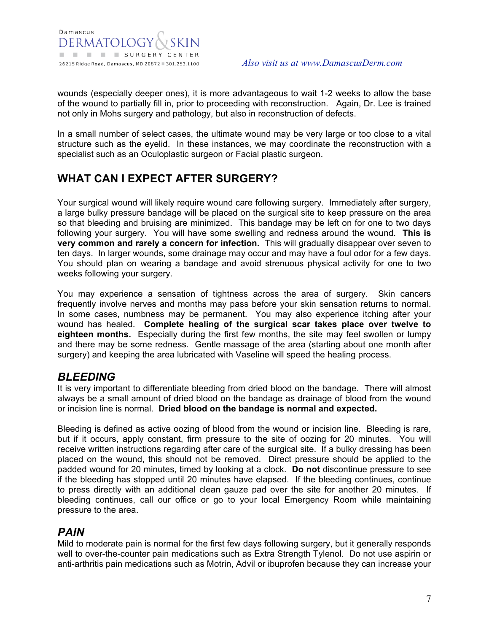wounds (especially deeper ones), it is more advantageous to wait 1-2 weeks to allow the base of the wound to partially fill in, prior to proceeding with reconstruction. Again, Dr. Lee is trained not only in Mohs surgery and pathology, but also in reconstruction of defects.

In a small number of select cases, the ultimate wound may be very large or too close to a vital structure such as the eyelid. In these instances, we may coordinate the reconstruction with a specialist such as an Oculoplastic surgeon or Facial plastic surgeon.

#### **WHAT CAN I EXPECT AFTER SURGERY?**

Your surgical wound will likely require wound care following surgery. Immediately after surgery, a large bulky pressure bandage will be placed on the surgical site to keep pressure on the area so that bleeding and bruising are minimized. This bandage may be left on for one to two days following your surgery. You will have some swelling and redness around the wound. **This is very common and rarely a concern for infection.** This will gradually disappear over seven to ten days. In larger wounds, some drainage may occur and may have a foul odor for a few days. You should plan on wearing a bandage and avoid strenuous physical activity for one to two weeks following your surgery.

You may experience a sensation of tightness across the area of surgery. Skin cancers frequently involve nerves and months may pass before your skin sensation returns to normal. In some cases, numbness may be permanent. You may also experience itching after your wound has healed. **Complete healing of the surgical scar takes place over twelve to eighteen months.** Especially during the first few months, the site may feel swollen or lumpy and there may be some redness. Gentle massage of the area (starting about one month after surgery) and keeping the area lubricated with Vaseline will speed the healing process.

#### *BLEEDING*

It is very important to differentiate bleeding from dried blood on the bandage. There will almost always be a small amount of dried blood on the bandage as drainage of blood from the wound or incision line is normal. **Dried blood on the bandage is normal and expected.**

Bleeding is defined as active oozing of blood from the wound or incision line. Bleeding is rare, but if it occurs, apply constant, firm pressure to the site of oozing for 20 minutes. You will receive written instructions regarding after care of the surgical site. If a bulky dressing has been placed on the wound, this should not be removed. Direct pressure should be applied to the padded wound for 20 minutes, timed by looking at a clock. **Do not** discontinue pressure to see if the bleeding has stopped until 20 minutes have elapsed. If the bleeding continues, continue to press directly with an additional clean gauze pad over the site for another 20 minutes. If bleeding continues, call our office or go to your local Emergency Room while maintaining pressure to the area.

#### *PAIN*

Mild to moderate pain is normal for the first few days following surgery, but it generally responds well to over-the-counter pain medications such as Extra Strength Tylenol. Do not use aspirin or anti-arthritis pain medications such as Motrin, Advil or ibuprofen because they can increase your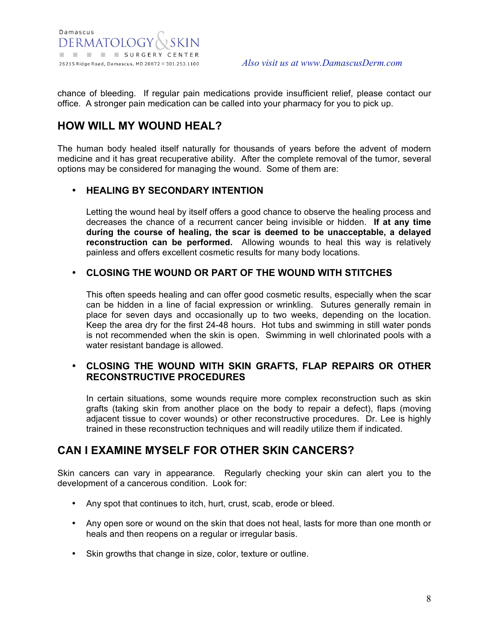chance of bleeding. If regular pain medications provide insufficient relief, please contact our office. A stronger pain medication can be called into your pharmacy for you to pick up.

#### **HOW WILL MY WOUND HEAL?**

The human body healed itself naturally for thousands of years before the advent of modern medicine and it has great recuperative ability. After the complete removal of the tumor, several options may be considered for managing the wound. Some of them are:

#### • **HEALING BY SECONDARY INTENTION**

Letting the wound heal by itself offers a good chance to observe the healing process and decreases the chance of a recurrent cancer being invisible or hidden. **If at any time during the course of healing, the scar is deemed to be unacceptable, a delayed reconstruction can be performed.** Allowing wounds to heal this way is relatively painless and offers excellent cosmetic results for many body locations.

#### • **CLOSING THE WOUND OR PART OF THE WOUND WITH STITCHES**

This often speeds healing and can offer good cosmetic results, especially when the scar can be hidden in a line of facial expression or wrinkling. Sutures generally remain in place for seven days and occasionally up to two weeks, depending on the location. Keep the area dry for the first 24-48 hours. Hot tubs and swimming in still water ponds is not recommended when the skin is open. Swimming in well chlorinated pools with a water resistant bandage is allowed.

#### • **CLOSING THE WOUND WITH SKIN GRAFTS, FLAP REPAIRS OR OTHER RECONSTRUCTIVE PROCEDURES**

In certain situations, some wounds require more complex reconstruction such as skin grafts (taking skin from another place on the body to repair a defect), flaps (moving adjacent tissue to cover wounds) or other reconstructive procedures. Dr. Lee is highly trained in these reconstruction techniques and will readily utilize them if indicated.

#### **CAN I EXAMINE MYSELF FOR OTHER SKIN CANCERS?**

Skin cancers can vary in appearance. Regularly checking your skin can alert you to the development of a cancerous condition. Look for:

- Any spot that continues to itch, hurt, crust, scab, erode or bleed.
- Any open sore or wound on the skin that does not heal, lasts for more than one month or heals and then reopens on a regular or irregular basis.
- Skin growths that change in size, color, texture or outline.